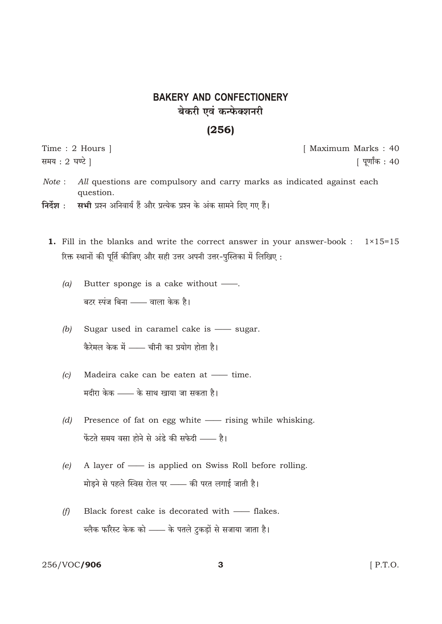# **BAKERY AND CONFECTIONERY** बेकरी एवं कन्फेक्शनरी

## $(256)$

Time: 2 Hours | समय: 2 घण्टे ।

[ Maximum Marks: 40 [ पूर्णांक : 40

- Note: All questions are compulsory and carry marks as indicated against each question.
- सभी प्रश्न अनिवार्य हैं और प्रत्येक प्रश्न के अंक सामने दिए गए हैं। निर्देश $\,$  :
	- 1. Fill in the blanks and write the correct answer in your answer-book :  $1 \times 15 = 15$ रिक्त स्थानों की पूर्ति कीजिए और सही उत्तर अपनी उत्तर-पुस्तिका में लिखिए:
		- $(a)$ Butter sponge is a cake without — बटर स्पंज बिना —— वाला केक है।
		- Sugar used in caramel cake is sugar.  $(b)$ .<br>कैरेमल केक में —— चीनी का प्रयोग होता है।
		- Madeira cake can be eaten at time.  $(c)$ मदीरा केक —— के साथ खाया जा सकता है।
		- $(d)$ Presence of fat on egg white - rising while whisking. फेंटते समय वसा होने से अंडे की सफेदी - है।
		- A layer of is applied on Swiss Roll before rolling.  $(e)$ मोड़ने से पहले स्विस रोल पर - की परत लगाई जाती है।
		- $(f)$ Black forest cake is decorated with - flakes. ब्लैक फॉरेस्ट केक को —— के पतले टुकड़ों से सजाया जाता है।

#### 256/VOC/906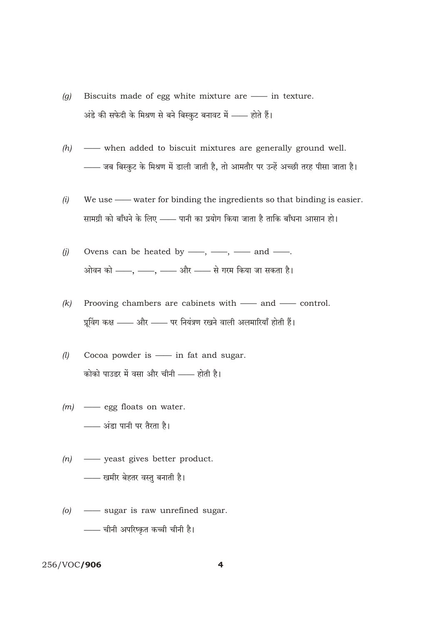- Biscuits made of egg white mixture are in texture.  $(q)$ अंडे की सफेदी के मिश्रण से बने बिस्कुट बनावट में - होते हैं।
- when added to biscuit mixtures are generally ground well.  $(h)$ - जब बिस्कुट के मिश्रण में डाली जाती है, तो आमतौर पर उन्हें अच्छी तरह पीसा जाता है।
- We use water for binding the ingredients so that binding is easier.  $(i)$ सामग्री को बाँधने के लिए —— पानी का प्रयोग किया जाता है ताकि बाँधना आसान हो।
- Ovens can be heated by  $\frac{1}{1}$ ,  $\frac{1}{1}$  and  $\frac{1}{1}$ .  $(j)$ .<br>ओवन को ——, ——, —— और —— से गरम किया जा सकता है।
- Prooving chambers are cabinets with and control.  $(k)$ प्रूविंग कक्ष —— और —— पर नियंत्रण रखने वाली अलमारियाँ होती हैं।
- $(l)$ Cocoa powder is - in fat and sugar. कोको पाउडर में वसा और चीनी —— होती है।
- $(m)$  egg floats on water. - अंडा पानी पर तैरता है।
- $(n)$  yeast gives better product. - खमीर बेहतर वस्तु बनाती है।
- $(o)$  -sugar is raw unrefined sugar. - चीनी अपरिष्कृत कच्ची चीनी है।

### 256/VOC/906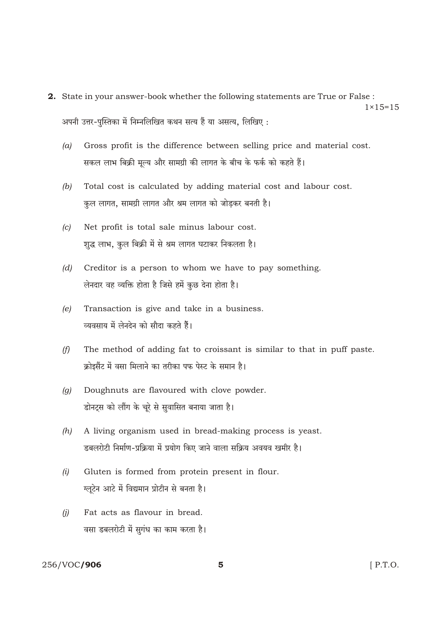- 2. State in your answer-book whether the following statements are True or False :  $1 \times 15 = 15$ अपनी उत्तर-पुस्तिका में निम्नलिखित कथन सत्य हैं या असत्य, लिखिए:
	- Gross profit is the difference between selling price and material cost.  $(a)$ सकल लाभ बिक्री मूल्य और सामग्री की लागत के बीच के फर्क को कहते हैं।
	- $(b)$ Total cost is calculated by adding material cost and labour cost. कुल लागत, सामग्री लागत और श्रम लागत को जोड़कर बनती है।
	- Net profit is total sale minus labour cost.  $(c)$ शुद्ध लाभ, कुल बिक्री में से श्रम लागत घटाकर निकलता है।
	- $(d)$ Creditor is a person to whom we have to pay something. लेनदार वह व्यक्ति होता है जिसे हमें कुछ देना होता है।
	- $(e)$ Transaction is give and take in a business. व्यवसाय में लेनदेन को सौदा कहते हैं।
	- The method of adding fat to croissant is similar to that in puff paste.  $(f)$ क्रोइसैंट में वसा मिलाने का तरीका पफ पेस्ट के समान है।
	- Doughnuts are flavoured with clove powder.  $\left( q\right)$ डोनट्स को लौंग के चूरे से सुवासित बनाया जाता है।
	- A living organism used in bread-making process is yeast.  $(h)$ डबलरोटी निर्माण-प्रक्रिया में प्रयोग किए जाने वाला सक्रिय अवयव खमीर है।
	- $(i)$ Gluten is formed from protein present in flour. ग्लूटेन आटे में विद्यमान प्रोटीन से बनता है।
	- Fat acts as flavour in bread.  $(i)$ वसा डबलरोटी में सुगंध का काम करता है।

#### 256/VOC/906